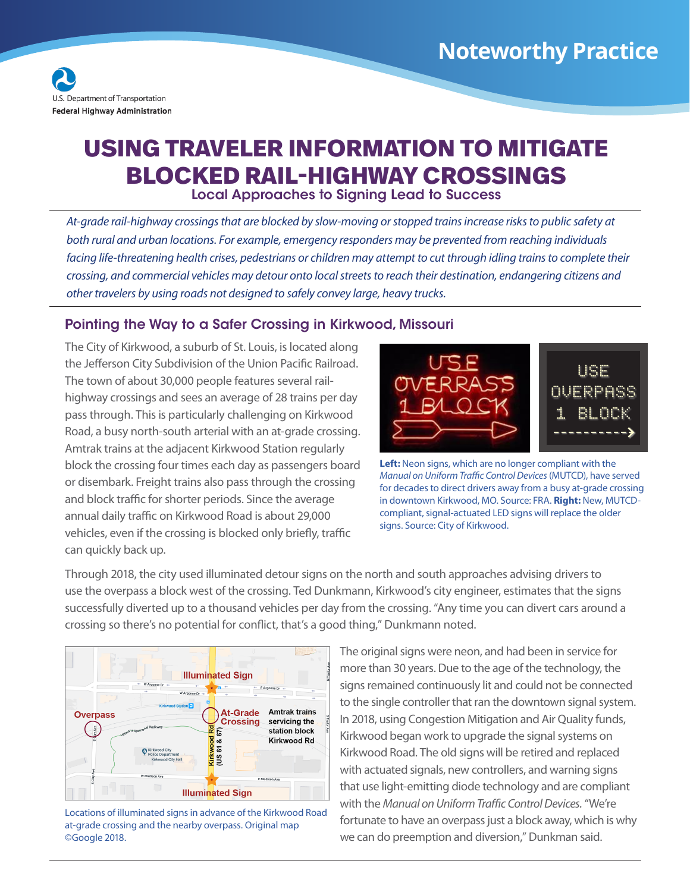

## **USING TRAVELER INFORMATION TO MITIGATE BLOCKED RAIL-HIGHWAY CROSSINGS**

Local Approaches to Signing Lead to Success

*At-grade rail-highway crossings that are blocked by slow-moving or stopped trains increase risks to public safety at both rural and urban locations. For example, emergency responders may be prevented from reaching individuals*  facing life-threatening health crises, pedestrians or children may attempt to cut through idling trains to complete their *crossing, and commercial vehicles may detour onto local streets to reach their destination, endangering citizens and other travelers by using roads not designed to safely convey large, heavy trucks.* 

## Pointing the Way to a Safer Crossing in Kirkwood, Missouri

The City of Kirkwood, a suburb of St. Louis, is located along the Jefferson City Subdivision of the Union Pacific Railroad. The town of about 30,000 people features several railhighway crossings and sees an average of 28 trains per day pass through. This is particularly challenging on Kirkwood Road, a busy north-south arterial with an at-grade crossing. Amtrak trains at the adjacent Kirkwood Station regularly block the crossing four times each day as passengers board or disembark. Freight trains also pass through the crossing and block traffic for shorter periods. Since the average annual daily traffic on Kirkwood Road is about 29,000 vehicles, even if the crossing is blocked only briefly, traffic can quickly back up.



**Left:** Neon signs, which are no longer compliant with the *Manual on Uniform Traffic Control Devices* (MUTCD), have served for decades to direct drivers away from a busy at-grade crossing in downtown Kirkwood, MO. Source: FRA. **Right:** New, MUTCDcompliant, signal-actuated LED signs will replace the older signs. Source: City of Kirkwood.

Through 2018, the city used illuminated detour signs on the north and south approaches advising drivers to use the overpass a block west of the crossing. Ted Dunkmann, Kirkwood's city engineer, estimates that the signs successfully diverted up to a thousand vehicles per day from the crossing. "Any time you can divert cars around a crossing so there's no potential for confict, that's a good thing," Dunkmann noted.



Locations of illuminated signs in advance of the Kirkwood Road at-grade crossing and the nearby overpass. Original map ©Google 2018.

The original signs were neon, and had been in service for more than 30 years. Due to the age of the technology, the signs remained continuously lit and could not be connected to the single controller that ran the downtown signal system. In 2018, using Congestion Mitigation and Air Quality funds, Kirkwood began work to upgrade the signal systems on Kirkwood Road. The old signs will be retired and replaced with actuated signals, new controllers, and warning signs that use light-emitting diode technology and are compliant with the *Manual on Uniform Traffic Control Devices*. "We're fortunate to have an overpass just a block away, which is why we can do preemption and diversion," Dunkman said.